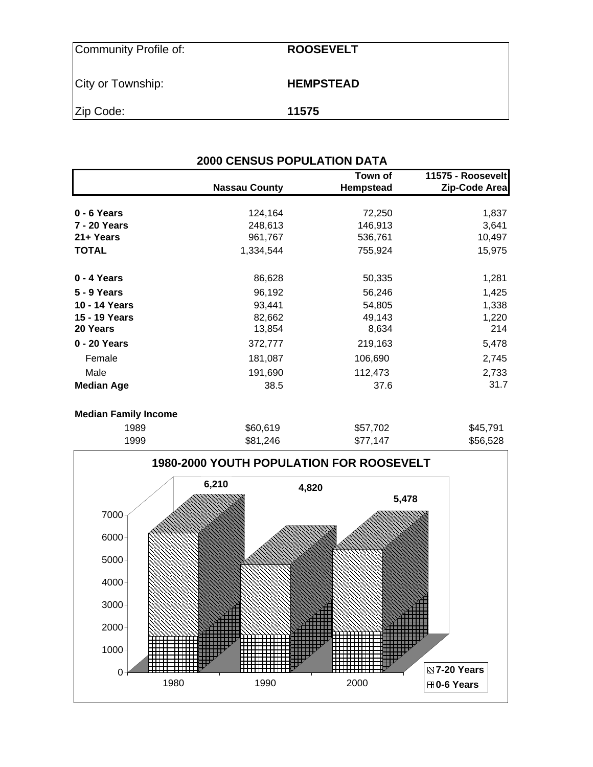| Community Profile of: | <b>ROOSEVELT</b> |
|-----------------------|------------------|
| City or Township:     | <b>HEMPSTEAD</b> |
| Zip Code:             | 11575            |

|                   | <b>2000 CENSUS POPULATION DATA</b> |                             |                                    |
|-------------------|------------------------------------|-----------------------------|------------------------------------|
|                   | <b>Nassau County</b>               | Town of<br><b>Hempstead</b> | 11575 - Roosevelt<br>Zip-Code Area |
|                   |                                    |                             |                                    |
| 0 - 6 Years       | 124,164                            | 72,250                      | 1,837                              |
| 7 - 20 Years      | 248,613                            | 146,913                     | 3,641                              |
| 21+ Years         | 961,767                            | 536,761                     | 10,497                             |
| <b>TOTAL</b>      | 1,334,544                          | 755,924                     | 15,975                             |
| 0 - 4 Years       | 86,628                             | 50,335                      | 1,281                              |
| 5 - 9 Years       | 96,192                             | 56,246                      | 1,425                              |
| 10 - 14 Years     | 93,441                             | 54,805                      | 1,338                              |
| 15 - 19 Years     | 82,662                             | 49,143                      | 1,220                              |
| 20 Years          | 13,854                             | 8,634                       | 214                                |
| 0 - 20 Years      | 372,777                            | 219,163                     | 5,478                              |
| Female            | 181,087                            | 106,690                     | 2,745                              |
| Male              | 191,690                            | 112,473                     | 2,733                              |
| <b>Median Age</b> | 38.5                               | 37.6                        | 31.7                               |

### **Median Family Income**

| 1989 | \$60,619 | \$57,702 | \$45,791 |
|------|----------|----------|----------|
| 1999 | \$81,246 | \$77,147 | \$56,528 |

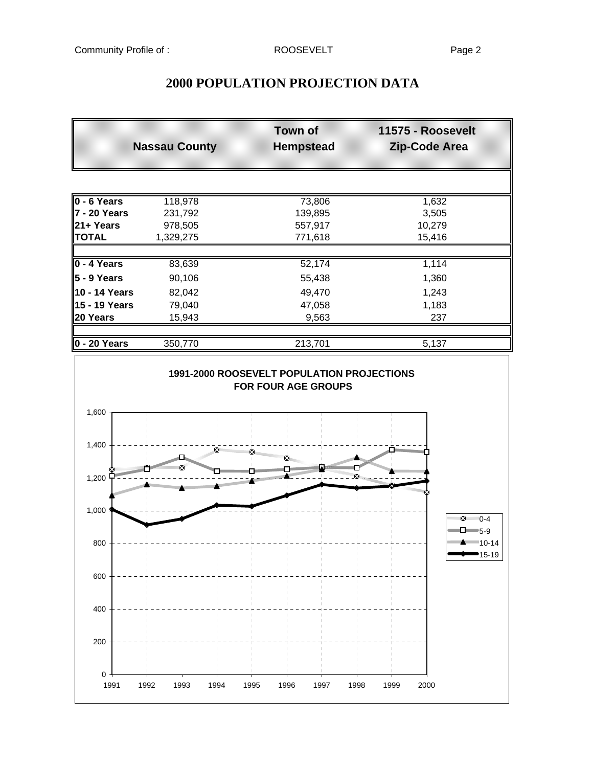| <b>Nassau County</b>             |           | <b>Town of</b><br><b>Hempstead</b> |        |
|----------------------------------|-----------|------------------------------------|--------|
|                                  |           |                                    |        |
| $\overline{0}$ - 6 Years         | 118,978   | 73,806                             | 1,632  |
| $7 - 20$ Years                   | 231,792   | 139,895                            | 3,505  |
| 21+ Years                        | 978,505   | 557,917                            | 10,279 |
| <b>TOTAL</b>                     | 1,329,275 | 771,618                            | 15,416 |
| $\overline{0 - 4 \text{ Years}}$ | 83,639    | 52,174                             | 1,114  |
| $\vert$ 5 - 9 Years              | 90,106    | 55,438                             | 1,360  |
| <b>10 - 14 Years</b>             | 82,042    | 49,470                             | 1,243  |
| <b>15 - 19 Years</b>             | 79,040    | 47,058                             | 1,183  |
| 20 Years                         | 15,943    | 9,563                              | 237    |
| $0 - 20$ Years                   | 350,770   | 213,701                            | 5,137  |

# **2000 POPULATION PROJECTION DATA**

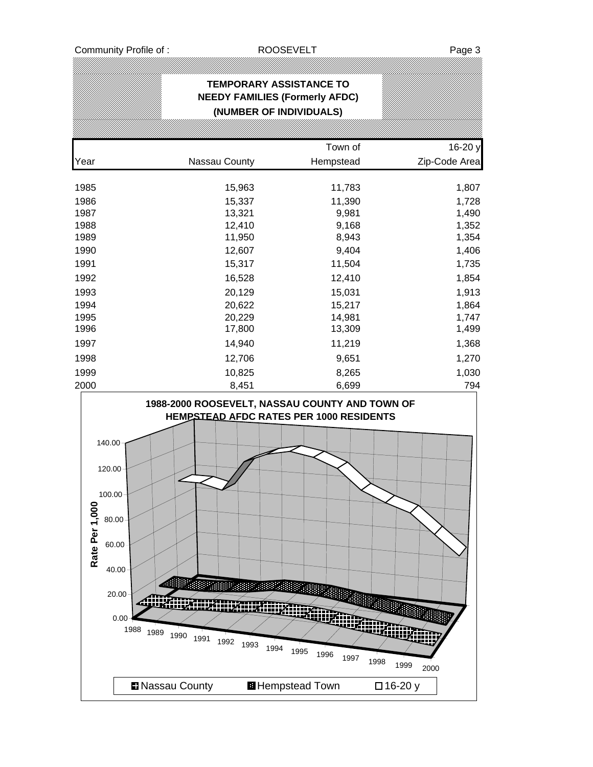Community Profile of : ROOSEVELT ROOSEVELT

# **TEMPORARY ASSISTANCE TO NEEDY FAMILIES (Formerly AFDC) (NUMBER OF INDIVIDUALS)**

|      |               | Town of   | 16-20 y       |
|------|---------------|-----------|---------------|
| Year | Nassau County | Hempstead | Zip-Code Area |
| 1985 | 15,963        | 11,783    | 1,807         |
| 1986 | 15,337        |           |               |
|      |               | 11,390    | 1,728         |
| 1987 | 13,321        | 9,981     | 1,490         |
| 1988 | 12,410        | 9,168     | 1,352         |
| 1989 | 11,950        | 8,943     | 1,354         |
| 1990 | 12,607        | 9,404     | 1,406         |
| 1991 | 15,317        | 11,504    | 1,735         |
| 1992 | 16,528        | 12,410    | 1,854         |
| 1993 | 20,129        | 15,031    | 1,913         |
| 1994 | 20,622        | 15,217    | 1,864         |
| 1995 | 20,229        | 14,981    | 1,747         |
| 1996 | 17,800        | 13,309    | 1,499         |
| 1997 | 14,940        | 11,219    | 1,368         |
| 1998 | 12,706        | 9,651     | 1,270         |
| 1999 | 10,825        | 8,265     | 1,030         |
| 2000 | 8,451         | 6,699     | 794           |

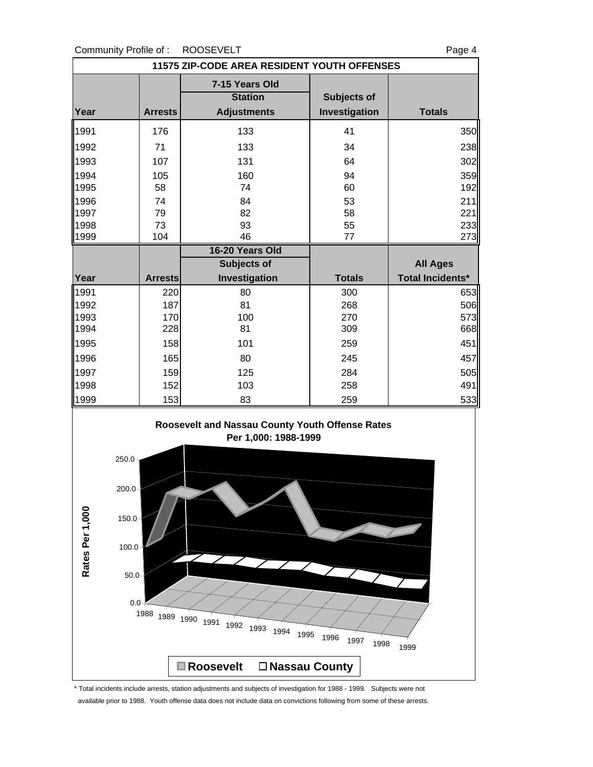### Community Profile of : ROOSEVELT Page 4

| <b>11575 ZIP-CODE AREA RESIDENT YOUTH OFFENSES</b> |                |                                                        |                              |                         |  |  |
|----------------------------------------------------|----------------|--------------------------------------------------------|------------------------------|-------------------------|--|--|
| Year                                               | <b>Arrests</b> | 7-15 Years Old<br><b>Station</b><br><b>Adjustments</b> | Subjects of<br>Investigation | <b>Totals</b>           |  |  |
| 1991                                               | 176            | 133                                                    | 41                           | 350                     |  |  |
| 1992                                               | 71             | 133                                                    | 34                           | 238                     |  |  |
| 1993                                               | 107            | 131                                                    | 64                           | 302                     |  |  |
| 1994                                               | 105            | 160                                                    | 94                           | 359                     |  |  |
| 1995                                               | 58             | 74                                                     | 60                           | 192                     |  |  |
| 1996                                               | 74             | 84                                                     | 53                           | 211                     |  |  |
| 1997                                               | 79             | 82                                                     | 58                           | 221                     |  |  |
| 1998                                               | 73             | 93                                                     | 55                           | 233                     |  |  |
| 1999                                               | 104            | 46                                                     | 77                           | 273                     |  |  |
|                                                    |                | 16-20 Years Old                                        |                              |                         |  |  |
|                                                    |                | <b>Subjects of</b>                                     |                              | <b>All Ages</b>         |  |  |
| Year                                               | <b>Arrests</b> | Investigation                                          | <b>Totals</b>                | <b>Total Incidents*</b> |  |  |
| 1991                                               | 220            | 80                                                     | 300                          | 653                     |  |  |
| 1992                                               | 187            | 81                                                     | 268                          | 506                     |  |  |
| 1993                                               | 170            | 100                                                    | 270                          | 573                     |  |  |
| 1994                                               | 228            | 81                                                     | 309                          | 668                     |  |  |
| 1995                                               | 158            | 101                                                    | 259                          | 451                     |  |  |
| 1996                                               | 165            | 80                                                     | 245                          | 457                     |  |  |
| 1997                                               | 159            | 125                                                    | 284                          | 505                     |  |  |
| 1998                                               | 152            | 103                                                    | 258                          | 491                     |  |  |
| 1999                                               | 153            | 83                                                     | 259                          | 533                     |  |  |





\* Total incidents include arrests, station adjustments and subjects of investigation for 1988 - 1999. Subjects were not available prior to 1988. Youth offense data does not include data on convictions following from some of these arrests.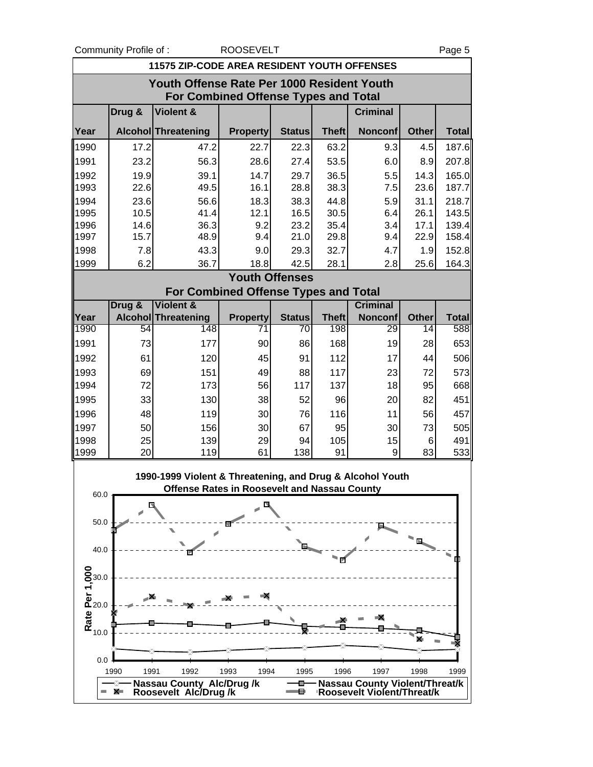Community Profile of : ROOSEVELT **Page 5** 

|                                                                                           | 11575 ZIP-CODE AREA RESIDENT YOUTH OFFENSES |                                                                                                                  |                       |               |              |                                                              |              |              |  |
|-------------------------------------------------------------------------------------------|---------------------------------------------|------------------------------------------------------------------------------------------------------------------|-----------------------|---------------|--------------|--------------------------------------------------------------|--------------|--------------|--|
| Youth Offense Rate Per 1000 Resident Youth<br><b>For Combined Offense Types and Total</b> |                                             |                                                                                                                  |                       |               |              |                                                              |              |              |  |
|                                                                                           | Drug &                                      | <b>Violent &amp;</b>                                                                                             |                       |               |              | <b>Criminal</b>                                              |              |              |  |
| Year                                                                                      |                                             | Alcohol Threatening                                                                                              | <b>Property</b>       | <b>Status</b> | <b>Theft</b> | <b>Nonconf</b>                                               | <b>Other</b> | <b>Total</b> |  |
| 1990                                                                                      | 17.2                                        | 47.2                                                                                                             | 22.7                  | 22.3          | 63.2         | 9.3                                                          | 4.5          | 187.6        |  |
| 1991                                                                                      | 23.2                                        | 56.3                                                                                                             | 28.6                  | 27.4          | 53.5         | 6.0                                                          | 8.9          | 207.8        |  |
| 1992                                                                                      | 19.9                                        | 39.1                                                                                                             | 14.7                  | 29.7          | 36.5         | 5.5                                                          | 14.3         | 165.0        |  |
| 1993                                                                                      | 22.6                                        | 49.5                                                                                                             | 16.1                  | 28.8          | 38.3         | 7.5                                                          | 23.6         | 187.7        |  |
| 1994                                                                                      | 23.6                                        | 56.6                                                                                                             | 18.3                  | 38.3          | 44.8         | 5.9                                                          | 31.1         | 218.7        |  |
| 1995                                                                                      | 10.5                                        | 41.4                                                                                                             | 12.1                  | 16.5          | 30.5         | 6.4                                                          | 26.1         | 143.5        |  |
| 1996                                                                                      | 14.6<br>15.7                                | 36.3<br>48.9                                                                                                     | 9.2<br>9.4            | 23.2<br>21.0  | 35.4<br>29.8 | 3.4                                                          | 17.1<br>22.9 | 139.4        |  |
| 1997                                                                                      |                                             |                                                                                                                  |                       |               |              | 9.4                                                          |              | 158.4        |  |
| 1998                                                                                      | 7.8                                         | 43.3                                                                                                             | 9.0                   | 29.3          | 32.7         | 4.7                                                          | 1.9          | 152.8        |  |
| 1999                                                                                      | 6.2                                         | 36.7                                                                                                             | 18.8                  | 42.5          | 28.1         | 2.8                                                          | 25.6         | 164.3        |  |
|                                                                                           |                                             | <b>For Combined Offense Types and Total</b>                                                                      | <b>Youth Offenses</b> |               |              |                                                              |              |              |  |
|                                                                                           | Drug &                                      | Violent &                                                                                                        |                       |               |              | <b>Criminal</b>                                              |              |              |  |
| Year                                                                                      |                                             | Alcohol Threatening                                                                                              | <b>Property</b>       | <b>Status</b> | <b>Theft</b> | <b>Nonconf</b>                                               | <b>Other</b> | <b>Total</b> |  |
| 1990                                                                                      | 54                                          | 148                                                                                                              | $\overline{71}$       | 70            | 198          | 29                                                           | 14           | 588          |  |
| 1991                                                                                      | 73                                          | 177                                                                                                              | 90                    | 86            | 168          | 19                                                           | 28           | 653          |  |
| 1992                                                                                      | 61                                          | 120                                                                                                              | 45                    | 91            | 112          | 17                                                           | 44           | 506          |  |
| 1993                                                                                      | 69                                          | 151                                                                                                              | 49                    | 88            | 117          | 23                                                           | 72           | 573          |  |
| 1994                                                                                      | 72                                          | 173                                                                                                              | 56                    | 117           | 137          | 18                                                           | 95           | 668          |  |
| 1995                                                                                      | 33                                          | 130                                                                                                              | 38                    | 52            | 96           | 20                                                           | 82           | 451          |  |
| 1996                                                                                      | 48                                          | 119                                                                                                              | 30                    | 76            | 116          | 11                                                           | 56           | 457          |  |
| 1997                                                                                      | 50                                          | 156                                                                                                              | 30                    | 67            | 95           | 30                                                           | 73           | 505          |  |
| 1998                                                                                      | 25                                          | 139                                                                                                              | 29                    | 94            | 105          | 15                                                           | 6            | 491          |  |
| 1999                                                                                      | 20                                          | 119                                                                                                              | 61                    | 138           | 91           | 9                                                            | 83           | 533          |  |
| 60.0                                                                                      |                                             | 1990-1999 Violent & Threatening, and Drug & Alcohol Youth<br><b>Offense Rates in Roosevelt and Nassau County</b> |                       |               |              |                                                              |              |              |  |
|                                                                                           | E                                           |                                                                                                                  |                       |               |              |                                                              |              |              |  |
| 50.0                                                                                      |                                             |                                                                                                                  |                       |               |              |                                                              |              |              |  |
|                                                                                           |                                             |                                                                                                                  |                       |               |              |                                                              |              |              |  |
| 40.0                                                                                      |                                             |                                                                                                                  |                       |               |              |                                                              |              |              |  |
|                                                                                           |                                             |                                                                                                                  |                       |               | Г            |                                                              |              |              |  |
|                                                                                           |                                             |                                                                                                                  |                       |               |              |                                                              |              |              |  |
|                                                                                           |                                             |                                                                                                                  |                       |               |              |                                                              |              |              |  |
| Rate Per 1,000<br>Mate 20.0<br>10.0                                                       |                                             |                                                                                                                  |                       |               |              |                                                              |              |              |  |
|                                                                                           |                                             |                                                                                                                  |                       |               |              |                                                              |              |              |  |
|                                                                                           |                                             |                                                                                                                  |                       |               |              |                                                              |              |              |  |
|                                                                                           |                                             |                                                                                                                  |                       |               |              |                                                              |              |              |  |
| 0.0                                                                                       |                                             |                                                                                                                  |                       |               |              |                                                              |              |              |  |
|                                                                                           | 1990<br>1991                                | 1992                                                                                                             | 1994<br>1993          | 1995          | 1996         | 1997                                                         | 1998         | 1999         |  |
|                                                                                           | X.                                          | <b>Nassau County Alc/Drug/k</b><br>Roosevelt Alc/Drug/k                                                          |                       | o             |              | Nassau County Violent/Threat/k<br>Roosevelt Violent/Threat/k |              |              |  |
|                                                                                           |                                             |                                                                                                                  |                       |               |              |                                                              |              |              |  |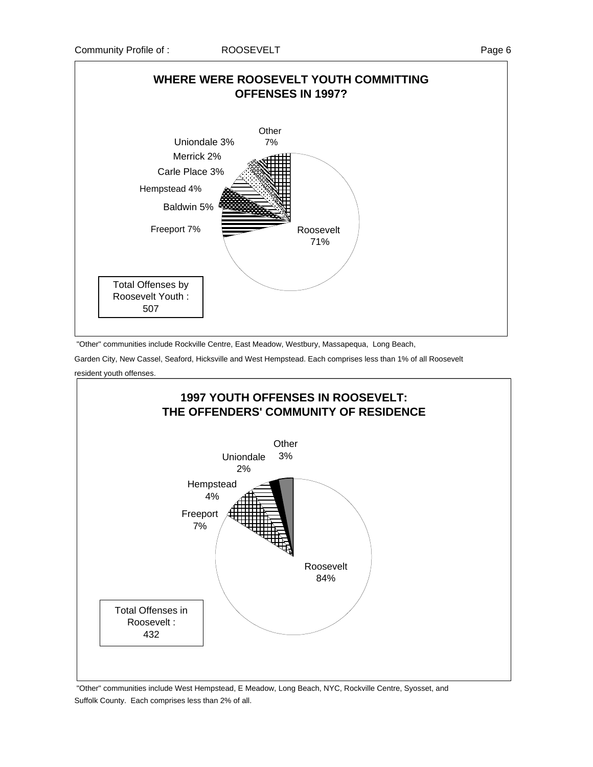

"Other" communities include Rockville Centre, East Meadow, Westbury, Massapequa, Long Beach,

Garden City, New Cassel, Seaford, Hicksville and West Hempstead. Each comprises less than 1% of all Roosevelt

resident youth offenses.



 "Other" communities include West Hempstead, E Meadow, Long Beach, NYC, Rockville Centre, Syosset, and Suffolk County. Each comprises less than 2% of all.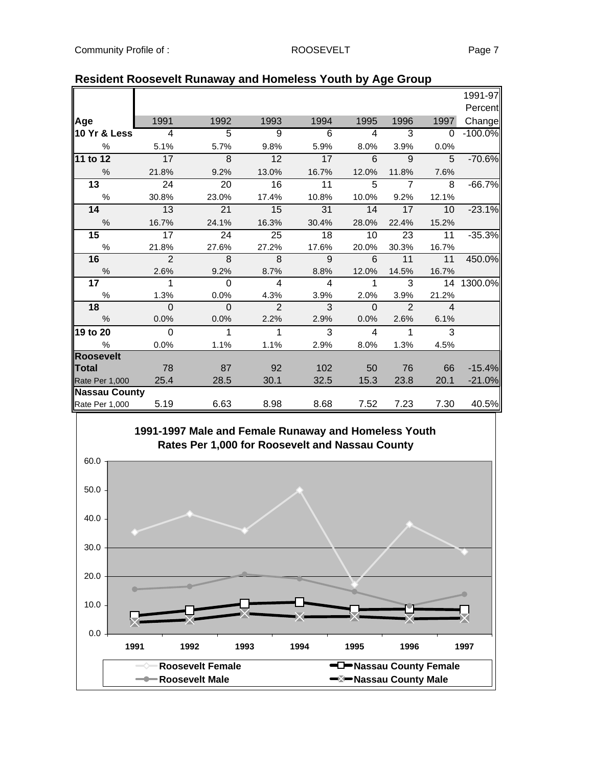|                         |                |                |                |                |                |                |                | 1991-97   |
|-------------------------|----------------|----------------|----------------|----------------|----------------|----------------|----------------|-----------|
|                         |                |                |                |                |                |                |                | Percent   |
| Age                     | 1991           | 1992           | 1993           | 1994           | 1995           | 1996           | 1997           | Change    |
| <b>10 Yr &amp; Less</b> | $\overline{4}$ | $\overline{5}$ | $\overline{9}$ | $\overline{6}$ | 4              | 3              | $\Omega$       | $-100.0%$ |
| $\%$                    | 5.1%           | 5.7%           | 9.8%           | 5.9%           | 8.0%           | 3.9%           | 0.0%           |           |
| 11 to 12                | 17             | 8              | 12             | 17             | 6              | 9              | 5              | $-70.6%$  |
| $\frac{9}{6}$           | 21.8%          | 9.2%           | 13.0%          | 16.7%          | 12.0%          | 11.8%          | 7.6%           |           |
| $\overline{13}$         | 24             | 20             | 16             | 11             | 5              | $\overline{7}$ | 8              | $-66.7%$  |
| $\%$                    | 30.8%          | 23.0%          | 17.4%          | 10.8%          | 10.0%          | 9.2%           | 12.1%          |           |
| 14                      | 13             | 21             | 15             | 31             | 14             | 17             | 10             | $-23.1%$  |
| $\%$                    | 16.7%          | 24.1%          | 16.3%          | 30.4%          | 28.0%          | 22.4%          | 15.2%          |           |
| 15                      | 17             | 24             | 25             | 18             | 10             | 23             | 11             | $-35.3%$  |
| $\frac{0}{0}$           | 21.8%          | 27.6%          | 27.2%          | 17.6%          | 20.0%          | 30.3%          | 16.7%          |           |
| 16                      | $\overline{2}$ | 8              | 8              | $\mathbf{q}$   | 6              | 11             | 11             | 450.0%    |
| $\%$                    | 2.6%           | 9.2%           | 8.7%           | 8.8%           | 12.0%          | 14.5%          | 16.7%          |           |
| 17 <sub>1</sub>         | 1              | $\Omega$       | $\overline{4}$ | $\overline{4}$ | $\mathbf 1$    | 3              | 14             | 1300.0%   |
| $\%$                    | 1.3%           | 0.0%           | 4.3%           | 3.9%           | 2.0%           | 3.9%           | 21.2%          |           |
| 18                      | $\Omega$       | $\Omega$       | $\overline{2}$ | 3              | $\mathbf 0$    | $\overline{2}$ | $\overline{4}$ |           |
| $\%$                    | 0.0%           | 0.0%           | 2.2%           | 2.9%           | 0.0%           | 2.6%           | 6.1%           |           |
| 19 to 20                | $\Omega$       | $\mathbf{1}$   | $\mathbf{1}$   | 3              | $\overline{4}$ | $\mathbf{1}$   | 3              |           |
| %                       | 0.0%           | 1.1%           | 1.1%           | 2.9%           | 8.0%           | 1.3%           | 4.5%           |           |
| <b>Roosevelt</b>        |                |                |                |                |                |                |                |           |
| Total                   | 78             | 87             | 92             | 102            | 50             | 76             | 66             | $-15.4%$  |
| Rate Per 1,000          | 25.4           | 28.5           | 30.1           | 32.5           | 15.3           | 23.8           | 20.1           | $-21.0%$  |
| <b>Nassau County</b>    |                |                |                |                |                |                |                |           |
| Rate Per 1,000          | 5.19           | 6.63           | 8.98           | 8.68           | 7.52           | 7.23           | 7.30           | 40.5%     |

## **Resident Roosevelt Runaway and Homeless Youth by Age Group**

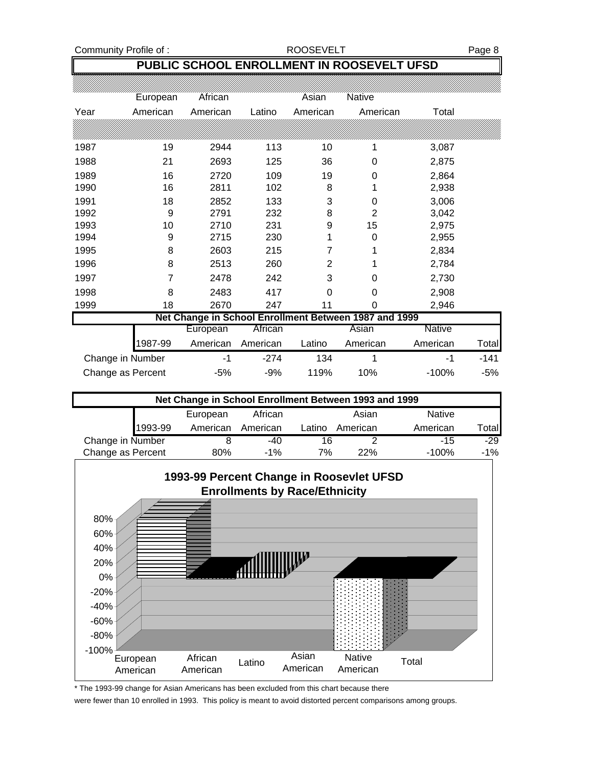Community Profile of : <br>
ROOSEVELT Page 8

# **PUBLIC SCHOOL ENROLLMENT IN ROOSEVELT UFSD**

|                                                       | European | African  |          | Asian    | <b>Native</b>  |               |        |
|-------------------------------------------------------|----------|----------|----------|----------|----------------|---------------|--------|
| Year                                                  | American | American | Latino   | American | American       | Total         |        |
|                                                       |          |          |          |          |                |               |        |
| 1987                                                  | 19       | 2944     | 113      | 10       | 1              | 3,087         |        |
| 1988                                                  | 21       | 2693     | 125      | 36       | 0              | 2,875         |        |
| 1989                                                  | 16       | 2720     | 109      | 19       | 0              | 2,864         |        |
| 1990                                                  | 16       | 2811     | 102      | 8        |                | 2,938         |        |
| 1991                                                  | 18       | 2852     | 133      | 3        | $\Omega$       | 3,006         |        |
| 1992                                                  | 9        | 2791     | 232      | 8        | $\overline{2}$ | 3,042         |        |
| 1993                                                  | 10       | 2710     | 231      | 9        | 15             | 2,975         |        |
| 1994                                                  | 9        | 2715     | 230      |          | 0              | 2,955         |        |
| 1995                                                  | 8        | 2603     | 215      |          |                | 2,834         |        |
| 1996                                                  | 8        | 2513     | 260      | 2        |                | 2,784         |        |
| 1997                                                  | 7        | 2478     | 242      | 3        | 0              | 2,730         |        |
| 1998                                                  | 8        | 2483     | 417      | $\Omega$ | 0              | 2,908         |        |
| 1999                                                  | 18       | 2670     | 247      | 11       | 0              | 2,946         |        |
| Net Change in School Enrollment Between 1987 and 1999 |          |          |          |          |                |               |        |
|                                                       |          | European | African  |          | Asian          | <b>Native</b> |        |
|                                                       | 1987-99  | American | American | Latino   | American       | American      | Totall |
| Change in Number                                      |          | $-1$     | $-274$   | 134      |                | -1            | $-141$ |

| Net Change in School Enrollment Between 1993 and 1999 |          |          |        |          |               |              |  |
|-------------------------------------------------------|----------|----------|--------|----------|---------------|--------------|--|
|                                                       | European | African  |        | Asian    | <b>Native</b> |              |  |
| 1993-99                                               | American | American | Latino | American | American      | <b>Total</b> |  |
| Change in Number                                      |          | $-40$    | 16     |          | $-15$         | $-29$        |  |
| Change as Percent                                     | 80%      | $-1\%$   | 7%     | 22%      | $-100\%$      | $-1\%$       |  |

Change as Percent -5% -9% 119% 10% -100% -5%



\* The 1993-99 change for Asian Americans has been excluded from this chart because there

were fewer than 10 enrolled in 1993. This policy is meant to avoid distorted percent comparisons among groups.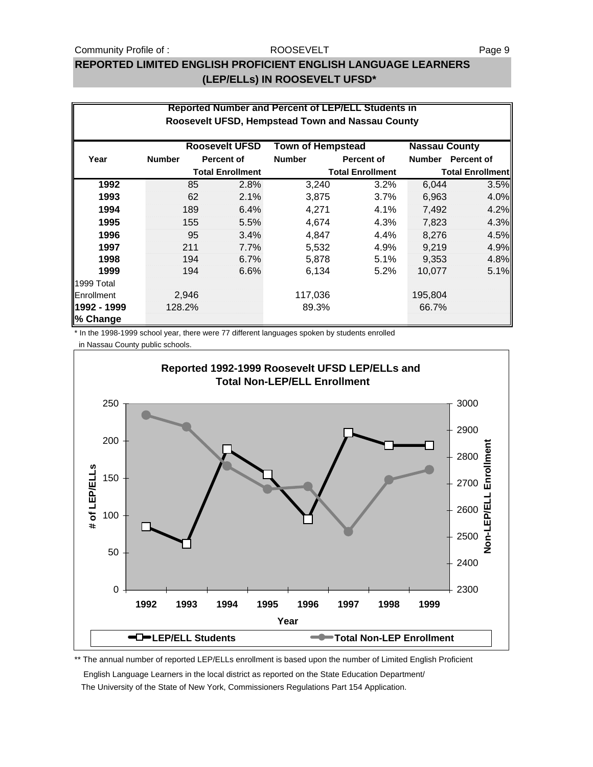#### Community Profile of : ROOSEVELT ROOSEVELT

#### ROOSEVELT

## **REPORTED LIMITED ENGLISH PROFICIENT ENGLISH LANGUAGE LEARNERS (LEP/ELLs) IN ROOSEVELT UFSD\***

|                         |               |       |                         |                          | <b>Reported Number and Percent of LEP/ELL Students in</b> |                      |                         |
|-------------------------|---------------|-------|-------------------------|--------------------------|-----------------------------------------------------------|----------------------|-------------------------|
|                         |               |       |                         |                          | Roosevelt UFSD, Hempstead Town and Nassau County          |                      |                         |
|                         |               |       | <b>Roosevelt UFSD</b>   | <b>Town of Hempstead</b> |                                                           | <b>Nassau County</b> |                         |
| Year                    | <b>Number</b> |       | <b>Percent of</b>       | <b>Number</b>            | <b>Percent of</b>                                         | <b>Number</b>        | Percent of              |
|                         |               |       | <b>Total Enrollment</b> |                          | <b>Total Enrollment</b>                                   |                      | <b>Total Enrollment</b> |
| 1992                    |               | 85    | 2.8%                    | 3,240                    | 3.2%                                                      | 6,044                | 3.5%                    |
| 1993                    |               | 62    | 2.1%                    | 3,875                    | 3.7%                                                      | 6,963                | 4.0%                    |
| 1994                    |               | 189   | 6.4%                    | 4,271                    | 4.1%                                                      | 7,492                | 4.2%                    |
| 1995                    |               | 155   | 5.5%                    | 4,674                    | 4.3%                                                      | 7,823                | 4.3%                    |
| 1996                    |               | 95    | 3.4%                    | 4,847                    | 4.4%                                                      | 8,276                | 4.5%                    |
| 1997                    |               | 211   | 7.7%                    | 5,532                    | 4.9%                                                      | 9,219                | 4.9%                    |
| 1998                    |               | 194   | 6.7%                    | 5,878                    | 5.1%                                                      | 9,353                | 4.8%                    |
| 1999                    |               | 194   | 6.6%                    | 6,134                    | 5.2%                                                      | 10,077               | 5.1%                    |
| 1999 Total              |               |       |                         |                          |                                                           |                      |                         |
| Enrollment              |               | 2,946 |                         | 117,036                  |                                                           | 195,804              |                         |
| 1992 - 1999<br>% Change | 128.2%        |       |                         | 89.3%                    |                                                           | 66.7%                |                         |

\* In the 1998-1999 school year, there were 77 different languages spoken by students enrolled

in Nassau County public schools.



\*\* The annual number of reported LEP/ELLs enrollment is based upon the number of Limited English Proficient

English Language Learners in the local district as reported on the State Education Department/

The University of the State of New York, Commissioners Regulations Part 154 Application.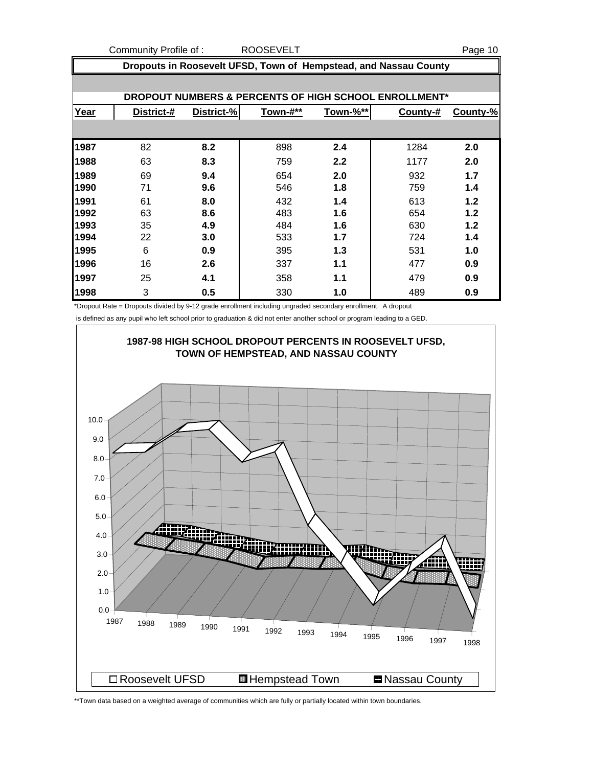Community Profile of : ROOSEVELT <br>
ROOSEVELT

|      | Dropouts in Roosevelt UFSD, Town of Hempstead, and Nassau County |            |          |          |                                                       |          |  |  |
|------|------------------------------------------------------------------|------------|----------|----------|-------------------------------------------------------|----------|--|--|
|      |                                                                  |            |          |          |                                                       |          |  |  |
|      |                                                                  |            |          |          | DROPOUT NUMBERS & PERCENTS OF HIGH SCHOOL ENROLLMENT* |          |  |  |
| Year | District-#                                                       | District-% | Town-#** | Town-%** | County-#                                              | County-% |  |  |
|      |                                                                  |            |          |          |                                                       |          |  |  |
| 1987 | 82                                                               | 8.2        | 898      | 2.4      | 1284                                                  | 2.0      |  |  |
| 1988 | 63                                                               | 8.3        | 759      | 2.2      | 1177                                                  | 2.0      |  |  |
| 1989 | 69                                                               | 9.4        | 654      | 2.0      | 932                                                   | 1.7      |  |  |
| 1990 | 71                                                               | 9.6        | 546      | 1.8      | 759                                                   | 1.4      |  |  |
| 1991 | 61                                                               | 8.0        | 432      | 1.4      | 613                                                   | 1.2      |  |  |
| 1992 | 63                                                               | 8.6        | 483      | 1.6      | 654                                                   | 1.2      |  |  |
| 1993 | 35                                                               | 4.9        | 484      | 1.6      | 630                                                   | 1.2      |  |  |
| 1994 | 22                                                               | 3.0        | 533      | 1.7      | 724                                                   | 1.4      |  |  |
| 1995 | 6                                                                | 0.9        | 395      | 1.3      | 531                                                   | 1.0      |  |  |
| 1996 | 16                                                               | 2.6        | 337      | 1.1      | 477                                                   | 0.9      |  |  |
| 1997 | 25                                                               | 4.1        | 358      | 1.1      | 479                                                   | 0.9      |  |  |
| 1998 | 3                                                                | 0.5        | 330      | 1.0      | 489                                                   | 0.9      |  |  |

\*Dropout Rate = Dropouts divided by 9-12 grade enrollment including ungraded secondary enrollment. A dropout

is defined as any pupil who left school prior to graduation & did not enter another school or program leading to a GED.



\*\*Town data based on a weighted average of communities which are fully or partially located within town boundaries.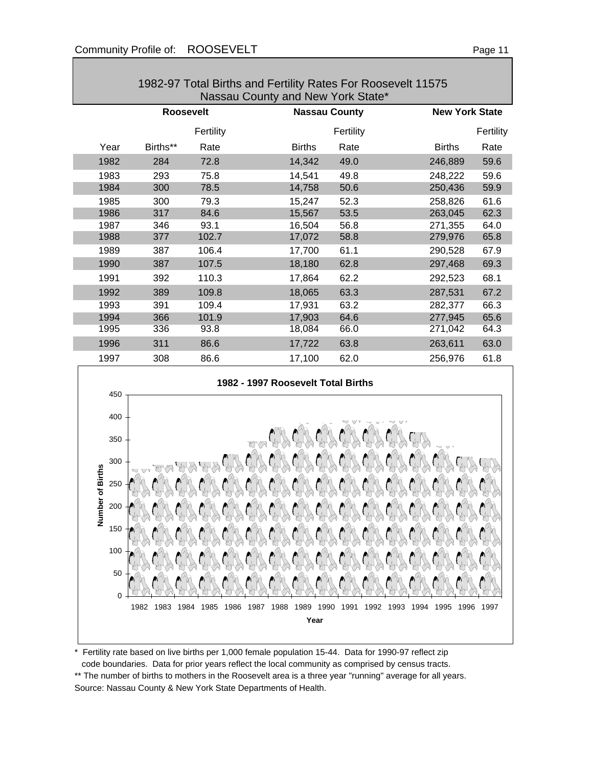0

50

100

150

| 1982-97 Total Births and Fertility Rates For Roosevelt 11575<br>Nassau County and New York State* |                  |           |               |                      |               |                       |  |  |
|---------------------------------------------------------------------------------------------------|------------------|-----------|---------------|----------------------|---------------|-----------------------|--|--|
|                                                                                                   | <b>Roosevelt</b> |           |               | <b>Nassau County</b> |               | <b>New York State</b> |  |  |
|                                                                                                   |                  | Fertility |               | Fertility            |               | Fertility             |  |  |
| Year                                                                                              | Births**         | Rate      | <b>Births</b> | Rate                 | <b>Births</b> | Rate                  |  |  |
| 1982                                                                                              | 284              | 72.8      | 14,342        | 49.0                 | 246,889       | 59.6                  |  |  |
| 1983                                                                                              | 293              | 75.8      | 14,541        | 49.8                 | 248,222       | 59.6                  |  |  |
| 1984                                                                                              | 300              | 78.5      | 14,758        | 50.6                 | 250,436       | 59.9                  |  |  |
| 1985                                                                                              | 300              | 79.3      | 15,247        | 52.3                 | 258,826       | 61.6                  |  |  |
| 1986                                                                                              | 317              | 84.6      | 15,567        | 53.5                 | 263,045       | 62.3                  |  |  |
| 1987                                                                                              | 346              | 93.1      | 16,504        | 56.8                 | 271,355       | 64.0                  |  |  |
| 1988                                                                                              | 377              | 102.7     | 17,072        | 58.8                 | 279,976       | 65.8                  |  |  |
| 1989                                                                                              | 387              | 106.4     | 17,700        | 61.1                 | 290,528       | 67.9                  |  |  |
| 1990                                                                                              | 387              | 107.5     | 18,180        | 62.8                 | 297,468       | 69.3                  |  |  |
| 1991                                                                                              | 392              | 110.3     | 17,864        | 62.2                 | 292,523       | 68.1                  |  |  |
| 1992                                                                                              | 389              | 109.8     | 18,065        | 63.3                 | 287,531       | 67.2                  |  |  |
| 1993                                                                                              | 391              | 109.4     | 17,931        | 63.2                 | 282,377       | 66.3                  |  |  |
| 1994                                                                                              | 366              | 101.9     | 17,903        | 64.6                 | 277,945       | 65.6                  |  |  |
| 1995                                                                                              | 336              | 93.8      | 18,084        | 66.0                 | 271,042       | 64.3                  |  |  |
| 1996                                                                                              | 311              | 86.6      | 17,722        | 63.8                 | 263,611       | 63.0                  |  |  |
| 1997                                                                                              | 308              | 86.6      | 17,100        | 62.0                 | 256,976       | 61.8                  |  |  |
| 1982 - 1997 Roosevelt Total Births<br>450                                                         |                  |           |               |                      |               |                       |  |  |
| 400                                                                                               |                  |           |               |                      |               |                       |  |  |
| 350<br>300                                                                                        |                  |           |               |                      |               |                       |  |  |
| Number of Births<br>250                                                                           |                  |           |               |                      |               |                       |  |  |
| 200                                                                                               |                  |           |               |                      |               |                       |  |  |
|                                                                                                   |                  |           |               |                      |               |                       |  |  |

\* Fertility rate based on live births per 1,000 female population 15-44. Data for 1990-97 reflect zip code boundaries. Data for prior years reflect the local community as comprised by census tracts.

\*\* The number of births to mothers in the Roosevelt area is a three year "running" average for all years. Source: Nassau County & New York State Departments of Health.

1982 1983 1984 1985 1986 1987 1988 1989 1990 1991 1992 1993 1994 1995 1996 1997 **Year**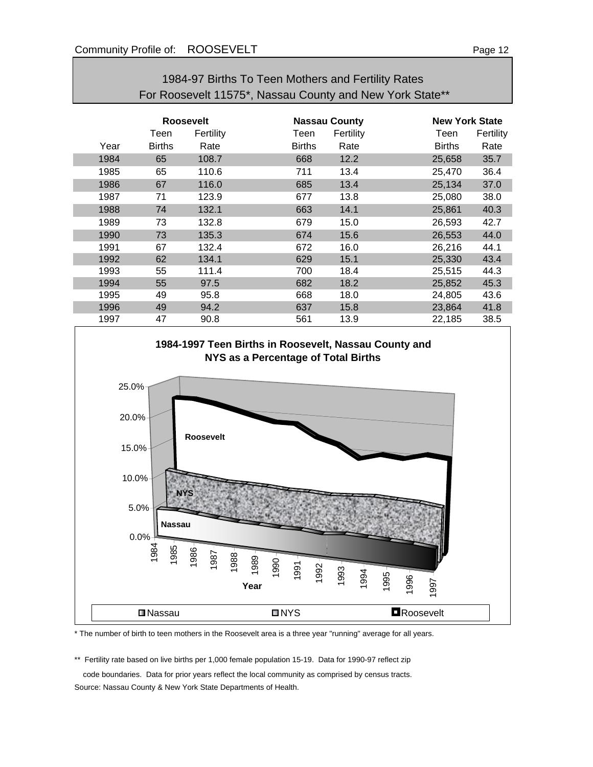| For Roosevelt 11575*, Nassau County and New York State** |                  |           |               |                      |               |                       |  |
|----------------------------------------------------------|------------------|-----------|---------------|----------------------|---------------|-----------------------|--|
|                                                          | <b>Roosevelt</b> |           |               | <b>Nassau County</b> |               | <b>New York State</b> |  |
|                                                          | Teen             | Fertility | Teen          | Fertility            | Teen          | Fertility             |  |
| Year                                                     | <b>Births</b>    | Rate      | <b>Births</b> | Rate                 | <b>Births</b> | Rate                  |  |
| 1984                                                     | 65               | 108.7     | 668           | 12.2                 | 25,658        | 35.7                  |  |
| 1985                                                     | 65               | 110.6     | 711           | 13.4                 | 25,470        | 36.4                  |  |
| 1986                                                     | 67               | 116.0     | 685           | 13.4                 | 25,134        | 37.0                  |  |
| 1987                                                     | 71               | 123.9     | 677           | 13.8                 | 25,080        | 38.0                  |  |
| 1988                                                     | 74               | 132.1     | 663           | 14.1                 | 25,861        | 40.3                  |  |
| 1989                                                     | 73               | 132.8     | 679           | 15.0                 | 26,593        | 42.7                  |  |
| 1990                                                     | 73               | 135.3     | 674           | 15.6                 | 26,553        | 44.0                  |  |
| 1991                                                     | 67               | 132.4     | 672           | 16.0                 | 26,216        | 44.1                  |  |
| 1992                                                     | 62               | 134.1     | 629           | 15.1                 | 25,330        | 43.4                  |  |
| 1993                                                     | 55               | 111.4     | 700           | 18.4                 | 25,515        | 44.3                  |  |
| 1994                                                     | 55               | 97.5      | 682           | 18.2                 | 25,852        | 45.3                  |  |
| 1995                                                     | 49               | 95.8      | 668           | 18.0                 | 24,805        | 43.6                  |  |
| 1996                                                     | 49               | 94.2      | 637           | 15.8                 | 23,864        | 41.8                  |  |
| 1997                                                     | 47               | 90.8      | 561           | 13.9                 | 22,185        | 38.5                  |  |



\* The number of birth to teen mothers in the Roosevelt area is a three year "running" average for all years.

\*\* Fertility rate based on live births per 1,000 female population 15-19. Data for 1990-97 reflect zip

code boundaries. Data for prior years reflect the local community as comprised by census tracts.